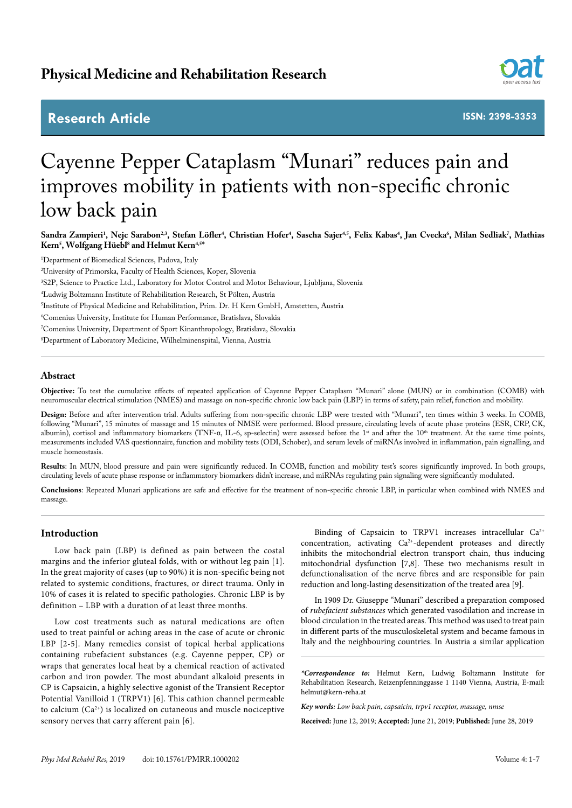# **Research Article**



**ISSN: 2398-3353**

# Cayenne Pepper Cataplasm "Munari" reduces pain and improves mobility in patients with non-specific chronic low back pain

Sandra Zampieri<sup>1</sup>, Nejc Sarabon<sup>2,3</sup>, Stefan Löfler<sup>4</sup>, Christian Hofer<sup>4</sup>, Sascha Sajer<sup>4,5</sup>, Felix Kabas<sup>4</sup>, Jan Cvecka<sup>6</sup>, Milan Sedliak<sup>7</sup>, Mathias **Kern5 , Wolfgang Hüebl8 and Helmut Kern4,5\***

 Department of Biomedical Sciences, Padova, Italy University of Primorska, Faculty of Health Sciences, Koper, Slovenia S2P, Science to Practice Ltd., Laboratory for Motor Control and Motor Behaviour, Ljubljana, Slovenia Ludwig Boltzmann Institute of Rehabilitation Research, St Pölten, Austria Institute of Physical Medicine and Rehabilitation, Prim. Dr. H Kern GmbH, Amstetten, Austria Comenius University, Institute for Human Performance, Bratislava, Slovakia Comenius University, Department of Sport Kinanthropology, Bratislava, Slovakia Department of Laboratory Medicine, Wilhelminenspital, Vienna, Austria

# **Abstract**

**Objective:** To test the cumulative effects of repeated application of Cayenne Pepper Cataplasm "Munari" alone (MUN) or in combination (COMB) with neuromuscular electrical stimulation (NMES) and massage on non-specific chronic low back pain (LBP) in terms of safety, pain relief, function and mobility.

**Design:** Before and after intervention trial. Adults suffering from non-specific chronic LBP were treated with "Munari", ten times within 3 weeks. In COMB, following "Munari", 15 minutes of massage and 15 minutes of NMSE were performed. Blood pressure, circulating levels of acute phase proteins (ESR, CRP, CK, albumin), cortisol and inflammatory biomarkers (TNF-α, IL-6, sp-selectin) were assessed before the 1<sup>st</sup> and after the 10<sup>th</sup> treatment. At the same time points, measurements included VAS questionnaire, function and mobility tests (ODI, Schober), and serum levels of miRNAs involved in inflammation, pain signalling, and muscle homeostasis.

**Results**: In MUN, blood pressure and pain were significantly reduced. In COMB, function and mobility test's scores significantly improved. In both groups, circulating levels of acute phase response or inflammatory biomarkers didn't increase, and miRNAs regulating pain signaling were significantly modulated.

**Conclusions**: Repeated Munari applications are safe and effective for the treatment of non-specific chronic LBP, in particular when combined with NMES and massage.

# **Introduction**

Low back pain (LBP) is defined as pain between the costal margins and the inferior gluteal folds, with or without leg pain [1]. In the great majority of cases (up to 90%) it is non-specific being not related to systemic conditions, fractures, or direct trauma. Only in 10% of cases it is related to specific pathologies. Chronic LBP is by definition – LBP with a duration of at least three months.

Low cost treatments such as natural medications are often used to treat painful or aching areas in the case of acute or chronic LBP [2-5]. Many remedies consist of topical herbal applications containing rubefacient substances (e.g. Cayenne pepper, CP) or wraps that generates local heat by a chemical reaction of activated carbon and iron powder. The most abundant alkaloid presents in CP is Capsaicin, a highly selective agonist of the Transient Receptor Potential Vanilloid 1 (TRPV1) [6]. This cathion channel permeable to calcium  $(Ca^{2+})$  is localized on cutaneous and muscle nociceptive sensory nerves that carry afferent pain [6].

Binding of Capsaicin to TRPV1 increases intracellular Ca<sup>2+</sup> concentration, activating Ca<sup>2+</sup>-dependent proteases and directly inhibits the mitochondrial electron transport chain, thus inducing mitochondrial dysfunction [7,8]. These two mechanisms result in defunctionalisation of the nerve fibres and are responsible for pain reduction and long-lasting desensitization of the treated area [9].

In 1909 Dr. Giuseppe "Munari" described a preparation composed of *rubefacient substances* which generated vasodilation and increase in blood circulation in the treated areas. This method was used to treat pain in different parts of the musculoskeletal system and became famous in Italy and the neighbouring countries. In Austria a similar application

*\*Correspondence to:* Helmut Kern, Ludwig Boltzmann Institute for Rehabilitation Research, Reizenpfenninggasse 1 1140 Vienna, Austria, E-mail: helmut@kern-reha.at

*Key words: Low back pain, capsaicin, trpv1 receptor, massage, nmse*

**Received:** June 12, 2019; **Accepted:** June 21, 2019; **Published:** June 28, 2019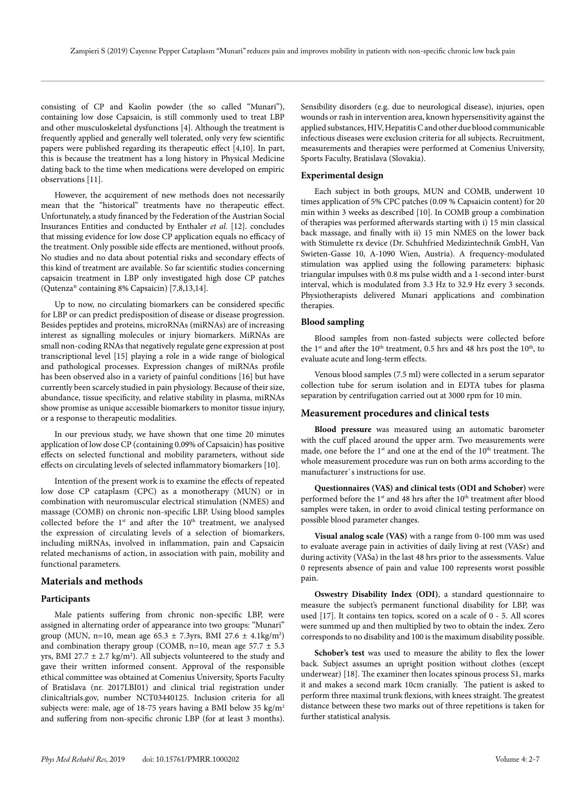consisting of CP and Kaolin powder (the so called "Munari"), containing low dose Capsaicin, is still commonly used to treat LBP and other musculoskeletal dysfunctions [4]. Although the treatment is frequently applied and generally well tolerated, only very few scientific papers were published regarding its therapeutic effect [4,10]. In part, this is because the treatment has a long history in Physical Medicine dating back to the time when medications were developed on empiric observations [11].

However, the acquirement of new methods does not necessarily mean that the "historical" treatments have no therapeutic effect. Unfortunately, a study financed by the Federation of the Austrian Social Insurances Entities and conducted by Enthaler *et al.* [12]. concludes that missing evidence for low dose CP application equals no efficacy of the treatment. Only possible side effects are mentioned, without proofs. No studies and no data about potential risks and secondary effects of this kind of treatment are available. So far scientific studies concerning capsaicin treatment in LBP only investigated high dose CP patches (Qutenza® containing 8% Capsaicin) [7,8,13,14].

Up to now, no circulating biomarkers can be considered specific for LBP or can predict predisposition of disease or disease progression. Besides peptides and proteins, microRNAs (miRNAs) are of increasing interest as signalling molecules or injury biomarkers. MiRNAs are small non-coding RNAs that negatively regulate gene expression at post transcriptional level [15] playing a role in a wide range of biological and pathological processes. Expression changes of miRNAs profile has been observed also in a variety of painful conditions [16] but have currently been scarcely studied in pain physiology. Because of their size, abundance, tissue specificity, and relative stability in plasma, miRNAs show promise as unique accessible biomarkers to monitor tissue injury, or a response to therapeutic modalities.

In our previous study, we have shown that one time 20 minutes application of low dose CP (containing 0.09% of Capsaicin) has positive effects on selected functional and mobility parameters, without side effects on circulating levels of selected inflammatory biomarkers [10].

Intention of the present work is to examine the effects of repeated low dose CP cataplasm (CPC) as a monotherapy (MUN) or in combination with neuromuscular electrical stimulation (NMES) and massage (COMB) on chronic non-specific LBP. Using blood samples collected before the  $1<sup>st</sup>$  and after the  $10<sup>th</sup>$  treatment, we analysed the expression of circulating levels of a selection of biomarkers, including miRNAs, involved in inflammation, pain and Capsaicin related mechanisms of action, in association with pain, mobility and functional parameters.

# **Materials and methods**

#### **Participants**

Male patients suffering from chronic non-specific LBP, were assigned in alternating order of appearance into two groups: "Munari" group (MUN, n=10, mean age  $65.3 \pm 7.3$ yrs, BMI 27.6  $\pm 4.1$ kg/m<sup>2</sup>) and combination therapy group (COMB, n=10, mean age  $57.7 \pm 5.3$ yrs, BMI 27.7  $\pm$  2.7 kg/m<sup>2</sup>). All subjects volunteered to the study and gave their written informed consent. Approval of the responsible ethical committee was obtained at Comenius University, Sports Faculty of Bratislava (nr. 2017LBI01) and clinical trial registration under clinicaltrials.gov, number NCT03440125. Inclusion criteria for all subjects were: male, age of 18-75 years having a BMI below 35 kg/m<sup>2</sup> and suffering from non-specific chronic LBP (for at least 3 months).

Sensibility disorders (e.g. due to neurological disease), injuries, open wounds or rash in intervention area, known hypersensitivity against the applied substances, HIV, Hepatitis C and other due blood communicable infectious diseases were exclusion criteria for all subjects. Recruitment, measurements and therapies were performed at Comenius University, Sports Faculty, Bratislava (Slovakia).

# **Experimental design**

Each subject in both groups, MUN and COMB, underwent 10 times application of 5% CPC patches (0.09 % Capsaicin content) for 20 min within 3 weeks as described [10]. In COMB group a combination of therapies was performed afterwards starting with i) 15 min classical back massage, and finally with ii) 15 min NMES on the lower back with Stimulette rx device (Dr. Schuhfried Medizintechnik GmbH, Van Swieten-Gasse 10, A-1090 Wien, Austria). A frequency-modulated stimulation was applied using the following parameters: biphasic triangular impulses with 0.8 ms pulse width and a 1-second inter-burst interval, which is modulated from 3.3 Hz to 32.9 Hz every 3 seconds. Physiotherapists delivered Munari applications and combination therapies.

#### **Blood sampling**

Blood samples from non-fasted subjects were collected before the 1<sup>st</sup> and after the 10<sup>th</sup> treatment, 0.5 hrs and 48 hrs post the 10<sup>th</sup>, to evaluate acute and long-term effects.

Venous blood samples (7.5 ml) were collected in a serum separator collection tube for serum isolation and in EDTA tubes for plasma separation by centrifugation carried out at 3000 rpm for 10 min.

#### **Measurement procedures and clinical tests**

**Blood pressure** was measured using an automatic barometer with the cuff placed around the upper arm. Two measurements were made, one before the 1<sup>st</sup> and one at the end of the 10<sup>th</sup> treatment. The whole measurement procedure was run on both arms according to the manufacturer`s instructions for use.

**Questionnaires (VAS) and clinical tests (ODI and Schober)** were performed before the 1<sup>st</sup> and 48 hrs after the 10<sup>th</sup> treatment after blood samples were taken, in order to avoid clinical testing performance on possible blood parameter changes.

**Visual analog scale (VAS)** with a range from 0-100 mm was used to evaluate average pain in activities of daily living at rest (VASr) and during activity (VASa) in the last 48 hrs prior to the assessments. Value 0 represents absence of pain and value 100 represents worst possible pain.

**Oswestry Disability Index (ODI)**, a standard questionnaire to measure the subject's permanent functional disability for LBP, was used [17]. It contains ten topics, scored on a scale of 0 - 5. All scores were summed up and then multiplied by two to obtain the index. Zero corresponds to no disability and 100 is the maximum disability possible.

**Schober's test** was used to measure the ability to flex the lower back. Subject assumes an upright position without clothes (except underwear) [18]. The examiner then locates spinous process S1, marks it and makes a second mark 10cm cranially. The patient is asked to perform three maximal trunk flexions, with knees straight. The greatest distance between these two marks out of three repetitions is taken for further statistical analysis.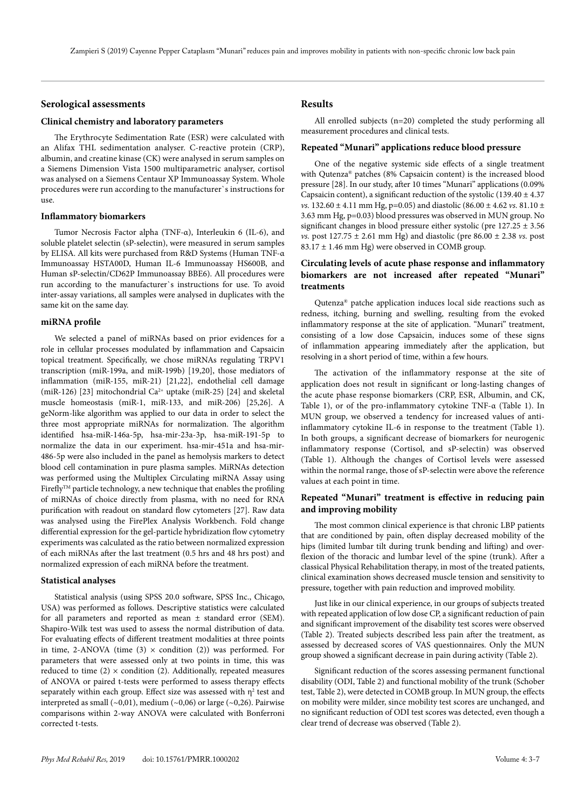# **Serological assessments**

#### **Clinical chemistry and laboratory parameters**

The Erythrocyte Sedimentation Rate (ESR) were calculated with an Alifax THL sedimentation analyser. C-reactive protein (CRP), albumin, and creatine kinase (CK) were analysed in serum samples on a Siemens Dimension Vista 1500 multiparametric analyser, cortisol was analysed on a Siemens Centaur XP Immunoassay System. Whole procedures were run according to the manufacturer`s instructions for use.

#### **Inflammatory biomarkers**

Tumor Necrosis Factor alpha (TNF-α), Interleukin 6 (IL-6), and soluble platelet selectin (sP-selectin), were measured in serum samples by ELISA. All kits were purchased from R&D Systems (Human TNF-α Immunoassay HSTA00D, Human IL-6 Immunoassay HS600B, and Human sP-selectin/CD62P Immunoassay BBE6). All procedures were run according to the manufacturer`s instructions for use. To avoid inter-assay variations, all samples were analysed in duplicates with the same kit on the same day.

#### **miRNA profile**

We selected a panel of miRNAs based on prior evidences for a role in cellular processes modulated by inflammation and Capsaicin topical treatment. Specifically, we chose miRNAs regulating TRPV1 transcription (miR-199a, and miR-199b) [19,20], those mediators of inflammation (miR-155, miR-21) [21,22], endothelial cell damage (miR-126) [23] mitochondrial Ca<sup>2+</sup> uptake (miR-25) [24] and skeletal muscle homeostasis (miR-1, miR-133, and miR-206) [25,26]. A geNorm-like algorithm was applied to our data in order to select the three most appropriate miRNAs for normalization. The algorithm identified hsa-miR-146a-5p, hsa-mir-23a-3p, hsa-miR-191-5p to normalize the data in our experiment. hsa-mir-451a and hsa-mir-486-5p were also included in the panel as hemolysis markers to detect blood cell contamination in pure plasma samples. MiRNAs detection was performed using the Multiplex Circulating miRNA Assay using Firefly<sup>TM</sup> particle technology, a new technique that enables the profiling of miRNAs of choice directly from plasma, with no need for RNA purification with readout on standard flow cytometers [27]. Raw data was analysed using the FirePlex Analysis Workbench. Fold change differential expression for the gel-particle hybridization flow cytometry experiments was calculated as the ratio between normalized expression of each miRNAs after the last treatment (0.5 hrs and 48 hrs post) and normalized expression of each miRNA before the treatment.

#### **Statistical analyses**

Statistical analysis (using SPSS 20.0 software, SPSS Inc., Chicago, USA) was performed as follows. Descriptive statistics were calculated for all parameters and reported as mean ± standard error (SEM). Shapiro-Wilk test was used to assess the normal distribution of data. For evaluating effects of different treatment modalities at three points in time, 2-ANOVA (time  $(3) \times$  condition  $(2)$ ) was performed. For parameters that were assessed only at two points in time, this was reduced to time (2)  $\times$  condition (2). Additionally, repeated measures of ANOVA or paired t-tests were performed to assess therapy effects separately within each group. Effect size was assessed with  $\eta^2$  test and interpreted as small  $(\sim 0.01)$ , medium  $(\sim 0.06)$  or large  $(\sim 0.26)$ . Pairwise comparisons within 2-way ANOVA were calculated with Bonferroni corrected t-tests.

## **Results**

All enrolled subjects (n=20) completed the study performing all measurement procedures and clinical tests.

#### **Repeated "Munari" applications reduce blood pressure**

One of the negative systemic side effects of a single treatment with Qutenza® patches (8% Capsaicin content) is the increased blood pressure [28]. In our study, after 10 times "Munari" applications (0.09% Capsaicin content), a significant reduction of the systolic (139.40  $\pm$  4.37 *vs.* 132.60 ± 4.11 mm Hg, p=0.05) and diastolic (86.00 ± 4.62 *vs.* 81.10 ± 3.63 mm Hg, p=0.03) blood pressures was observed in MUN group. No significant changes in blood pressure either systolic (pre  $127.25 \pm 3.56$ ) *vs.* post 127.75 ± 2.61 mm Hg) and diastolic (pre 86.00 ± 2.38 *vs.* post  $83.17 \pm 1.46$  mm Hg) were observed in COMB group.

# **Circulating levels of acute phase response and inflammatory biomarkers are not increased after repeated "Munari" treatments**

Qutenza® patche application induces local side reactions such as redness, itching, burning and swelling, resulting from the evoked inflammatory response at the site of application. "Munari" treatment, consisting of a low dose Capsaicin, induces some of these signs of inflammation appearing immediately after the application, but resolving in a short period of time, within a few hours.

The activation of the inflammatory response at the site of application does not result in significant or long-lasting changes of the acute phase response biomarkers (CRP, ESR, Albumin, and CK, Table 1), or of the pro-inflammatory cytokine TNF-α (Table 1). In MUN group, we observed a tendency for increased values of antiinflammatory cytokine IL-6 in response to the treatment (Table 1). In both groups, a significant decrease of biomarkers for neurogenic inflammatory response (Cortisol, and sP-selectin) was observed (Table 1). Although the changes of Cortisol levels were assessed within the normal range, those of sP-selectin were above the reference values at each point in time.

# **Repeated "Munari" treatment is effective in reducing pain and improving mobility**

The most common clinical experience is that chronic LBP patients that are conditioned by pain, often display decreased mobility of the hips (limited lumbar tilt during trunk bending and lifting) and overflexion of the thoracic and lumbar level of the spine (trunk). After a classical Physical Rehabilitation therapy, in most of the treated patients, clinical examination shows decreased muscle tension and sensitivity to pressure, together with pain reduction and improved mobility.

Just like in our clinical experience, in our groups of subjects treated with repeated application of low dose CP, a significant reduction of pain and significant improvement of the disability test scores were observed (Table 2). Treated subjects described less pain after the treatment, as assessed by decreased scores of VAS questionnaires. Only the MUN group showed a significant decrease in pain during activity (Table 2).

Significant reduction of the scores assessing permanent functional disability (ODI, Table 2) and functional mobility of the trunk (Schober test, Table 2), were detected in COMB group. In MUN group, the effects on mobility were milder, since mobility test scores are unchanged, and no significant reduction of ODI test scores was detected, even though a clear trend of decrease was observed (Table 2).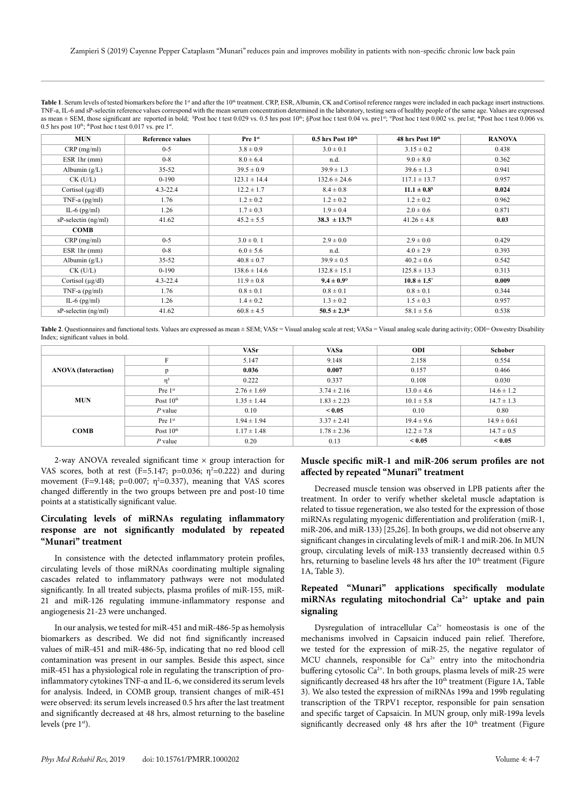| <b>MIIN</b>                                                                                                                                                                                                | Deference volues | $D_{max}$ 1st | $0.5$ has $D_{\text{ext}}$ 10th | $49$ has $D_{\alpha 0}$ $10$ th | <b>DANOVA</b>                                                                                                                                                                                      |  |  |
|------------------------------------------------------------------------------------------------------------------------------------------------------------------------------------------------------------|------------------|---------------|---------------------------------|---------------------------------|----------------------------------------------------------------------------------------------------------------------------------------------------------------------------------------------------|--|--|
| 0.5 hrs post $10^{th}$ : $\text{Post}$ hoc t test 0.017 vs. pre $1^{\text{st}}$ .                                                                                                                          |                  |               |                                 |                                 |                                                                                                                                                                                                    |  |  |
| as mean $\pm$ SEM, those significant are reported in bold; ${}^{5}P$ Ost hoc t test 0.029 vs. 0.5 hrs post 10 <sup>th</sup> ; ${}^{8}P$ ost hoc t test 0.04 vs. prelst; ${}^{8}P$ Ost hoc t test 0.006 vs. |                  |               |                                 |                                 |                                                                                                                                                                                                    |  |  |
| TNF-a, IL-6 and sP-selectin reference values correspond with the mean serum concentration determined in the laboratory, testing sera of healthy people of the same age. Values are expressed               |                  |               |                                 |                                 |                                                                                                                                                                                                    |  |  |
|                                                                                                                                                                                                            |                  |               |                                 |                                 | Table 1. Serum levels of tested biomarkers before the $1st$ and after the $10th$ treatment. CRP, ESR, Albumin, CK and Cortisol reference ranges were included in each package insert instructions. |  |  |

| <b>MUN</b>                    | <b>Reference values</b> | Pre 1st          | $0.5$ hrs Post $10th$        | 48 hrs Post 10th | <b>RANOVA</b> |
|-------------------------------|-------------------------|------------------|------------------------------|------------------|---------------|
| $CRP$ (mg/ml)                 | $0 - 5$                 | $3.8 \pm 0.9$    | $3.0 \pm 0.1$                | $3.15 \pm 0.2$   | 0.438         |
| ESR 1hr (mm)                  | $0 - 8$                 | $8.0 \pm 6.4$    | n.d.                         | $9.0 \pm 8.0$    | 0.362         |
| Albumin $(g/L)$               | $35 - 52$               | $39.5 \pm 0.9$   | $39.9 \pm 1.3$               | $39.6 \pm 1.3$   | 0.941         |
| $CK$ (U/L)                    | $0 - 190$               | $123.1 \pm 14.4$ | $132.6 \pm 24.6$             | $117.1 \pm 13.7$ | 0.957         |
| Cortisol $(\mu g/dl)$         | $4.3 - 22.4$            | $12.2 \pm 1.7$   | $8.4 \pm 0.8$                | $11.1 \pm 0.8^s$ | 0.024         |
| TNF-a $(pg/ml)$               | 1.76                    | $1.2 \pm 0.2$    | $1.2 \pm 0.2$                | $1.2 \pm 0.2$    | 0.962         |
| IL-6 $(pg/ml)$                | 1.26                    | $1.7 \pm 0.3$    | $1.9 \pm 0.4$                | $2.0 \pm 0.6$    | 0.871         |
| $sP\text{-selection (ng/ml)}$ | 41.62                   | $45.2 \pm 5.5$   | $38.3 \pm 13.7$ <sup>§</sup> | $41.26 \pm 4.8$  | 0.03          |
| <b>COMB</b>                   |                         |                  |                              |                  |               |
| $CRP$ (mg/ml)                 | $0 - 5$                 | $3.0 \pm 0.1$    | $2.9 \pm 0.0$                | $2.9 \pm 0.0$    | 0.429         |
| ESR 1hr (mm)                  | $0 - 8$                 | $6.0 \pm 5.6$    | n.d.                         | $4.0 \pm 2.9$    | 0.393         |
| Albumin $(g/L)$               | $35 - 52$               | $40.8 \pm 0.7$   | $39.9 \pm 0.5$               | $40.2 \pm 0.6$   | 0.542         |
| $CK$ (U/L)                    | $0 - 190$               | $138.6 \pm 14.6$ | $132.8 \pm 15.1$             | $125.8 \pm 13.3$ | 0.313         |
| Cortisol $(\mu g/dl)$         | $4.3 - 22.4$            | $11.9 \pm 0.8$   | $9.4 \pm 0.9^{\circ}$        | $10.8 \pm 1.5^*$ | 0.009         |
| TNF-a $(pg/ml)$               | 1.76                    | $0.8 \pm 0.1$    | $0.8 \pm 0.1$                | $0.8 \pm 0.1$    | 0.344         |
| IL-6 $(pg/ml)$                | 1.26                    | $1.4 \pm 0.2$    | $1.3 \pm 0.2$                | $1.5 \pm 0.3$    | 0.957         |
| $sP\text{-selection (ng/ml)}$ | 41.62                   | $60.8 \pm 4.5$   | $50.5 \pm 2.3^{\&}$          | $58.1 \pm 5.6$   | 0.538         |

Table 2. Questionnaires and functional tests. Values are expressed as mean ± SEM; VASr = Visual analog scale at rest; VASa = Visual analog scale during activity; ODI= Oswestry Disability Index; significant values in bold.

|                            |             | <b>VASr</b>     | <b>VASa</b>     | ODI            | <b>Schober</b>  |
|----------------------------|-------------|-----------------|-----------------|----------------|-----------------|
| <b>ANOVA</b> (Interaction) | F           | 5.147           | 9.148           | 2.158          | 0.554           |
|                            | p           | 0.036           | 0.007           | 0.157          | 0.466           |
|                            | $\eta^2$    | 0.222           | 0.337           | 0.108          | 0.030           |
| <b>MUN</b>                 | Pre $1st$   | $2.76 \pm 1.69$ | $3.74 \pm 2.16$ | $13.0 \pm 4.6$ | $14.6 \pm 1.2$  |
|                            | Post $10th$ | $1.35 \pm 1.44$ | $1.83 \pm 2.23$ | $10.1 \pm 5.8$ | $14.7 \pm 1.3$  |
|                            | $P$ value   | 0.10            | ${}_{< 0.05}$   | 0.10           | 0.80            |
| <b>COMB</b>                | Pre $1st$   | $1.94 \pm 1.94$ | $3.37 \pm 2.41$ | $19.4 \pm 9.6$ | $14.9 \pm 0.61$ |
|                            | Post $10th$ | $1.17 \pm 1.48$ | $1.78 \pm 2.36$ | $12.2 \pm 7.8$ | $14.7 \pm 0.5$  |
|                            | $P$ value   | 0.20            | 0.13            | ${}_{< 0.05}$  | ${}_{< 0.05}$   |

2-way ANOVA revealed significant time  $\times$  group interaction for VAS scores, both at rest (F=5.147; p=0.036;  $\eta^2$ =0.222) and during movement (F=9.148;  $p=0.007$ ;  $\eta^2=0.337$ ), meaning that VAS scores changed differently in the two groups between pre and post-10 time points at a statistically significant value.

# **Circulating levels of miRNAs regulating inflammatory response are not significantly modulated by repeated "Munari" treatment**

In consistence with the detected inflammatory protein profiles, circulating levels of those miRNAs coordinating multiple signaling cascades related to inflammatory pathways were not modulated significantly. In all treated subjects, plasma profiles of miR-155, miR-21 and miR-126 regulating immune-inflammatory response and angiogenesis 21-23 were unchanged.

In our analysis, we tested for miR-451 and miR-486-5p as hemolysis biomarkers as described. We did not find significantly increased values of miR-451 and miR-486-5p, indicating that no red blood cell contamination was present in our samples. Beside this aspect, since miR-451 has a physiological role in regulating the transcription of proinflammatory cytokines TNF-α and IL-6, we considered its serum levels for analysis. Indeed, in COMB group, transient changes of miR-451 were observed: its serum levels increased 0.5 hrs after the last treatment and significantly decreased at 48 hrs, almost returning to the baseline levels (pre  $1<sup>st</sup>$ ).

# **Muscle specific miR-1 and miR-206 serum profiles are not affected by repeated "Munari" treatment**

Decreased muscle tension was observed in LPB patients after the treatment. In order to verify whether skeletal muscle adaptation is related to tissue regeneration, we also tested for the expression of those miRNAs regulating myogenic differentiation and proliferation (miR-1, miR-206, and miR-133) [25,26]. In both groups, we did not observe any significant changes in circulating levels of miR-1 and miR-206. In MUN group, circulating levels of miR-133 transiently decreased within 0.5 hrs, returning to baseline levels 48 hrs after the 10<sup>th</sup> treatment (Figure 1A, Table 3).

# **Repeated "Munari" applications specifically modulate miRNAs regulating mitochondrial Ca2+ uptake and pain signaling**

Dysregulation of intracellular  $Ca^{2+}$  homeostasis is one of the mechanisms involved in Capsaicin induced pain relief. Therefore, we tested for the expression of miR-25, the negative regulator of MCU channels, responsible for  $Ca^{2+}$  entry into the mitochondria buffering cytosolic  $Ca^{2+}$ . In both groups, plasma levels of miR-25 were significantly decreased 48 hrs after the  $10<sup>th</sup>$  treatment (Figure 1A, Table 3). We also tested the expression of miRNAs 199a and 199b regulating transcription of the TRPV1 receptor, responsible for pain sensation and specific target of Capsaicin. In MUN group, only miR-199a levels significantly decreased only 48 hrs after the  $10<sup>th</sup>$  treatment (Figure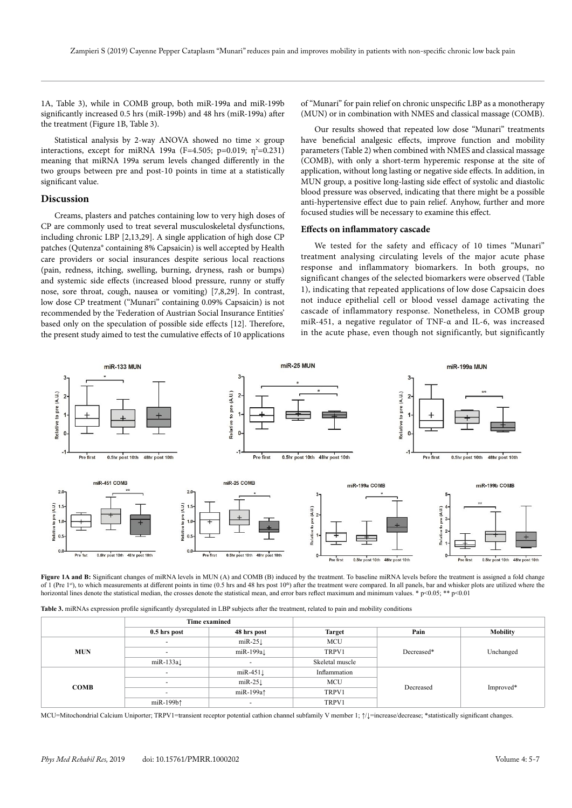1A, Table 3), while in COMB group, both miR-199a and miR-199b significantly increased 0.5 hrs (miR-199b) and 48 hrs (miR-199a) after the treatment (Figure 1B, Table 3).

Statistical analysis by 2-way ANOVA showed no time  $\times$  group interactions, except for miRNA 199a (F=4.505; p=0.019; η<sup>2</sup>=0.231) meaning that miRNA 199a serum levels changed differently in the two groups between pre and post-10 points in time at a statistically significant value.

## **Discussion**

Creams, plasters and patches containing low to very high doses of CP are commonly used to treat several musculoskeletal dysfunctions, including chronic LBP [2,13,29]. A single application of high dose CP patches (Qutenza® containing 8% Capsaicin) is well accepted by Health care providers or social insurances despite serious local reactions (pain, redness, itching, swelling, burning, dryness, rash or bumps) and systemic side effects (increased blood pressure, runny or stuffy nose, sore throat, cough, nausea or vomiting) [7,8,29]. In contrast, low dose CP treatment ("Munari" containing 0.09% Capsaicin) is not recommended by the 'Federation of Austrian Social Insurance Entities' based only on the speculation of possible side effects [12]. Therefore, the present study aimed to test the cumulative effects of 10 applications

of "Munari" for pain relief on chronic unspecific LBP as a monotherapy (MUN) or in combination with NMES and classical massage (COMB).

Our results showed that repeated low dose "Munari" treatments have beneficial analgesic effects, improve function and mobility parameters (Table 2) when combined with NMES and classical massage (COMB), with only a short-term hyperemic response at the site of application, without long lasting or negative side effects. In addition, in MUN group, a positive long-lasting side effect of systolic and diastolic blood pressure was observed, indicating that there might be a possible anti-hypertensive effect due to pain relief. Anyhow, further and more focused studies will be necessary to examine this effect.

# **Effects on inflammatory cascade**

We tested for the safety and efficacy of 10 times "Munari" treatment analysing circulating levels of the major acute phase response and inflammatory biomarkers. In both groups, no significant changes of the selected biomarkers were observed (Table 1), indicating that repeated applications of low dose Capsaicin does not induce epithelial cell or blood vessel damage activating the cascade of inflammatory response. Nonetheless, in COMB group miR-451, a negative regulator of TNF-α and IL-6, was increased in the acute phase, even though not significantly, but significantly



**Figure 1A and B:** Significant changes of miRNA levels in MUN (A) and COMB (B) induced by the treatment. To baseline miRNA levels before the treatment is assigned a fold change of 1 (Pre 1s<sup>t</sup>), to which measurements at different points in time (0.5 hrs and 48 hrs post 10<sup>th</sup>) after the treatment were compared. In all panels, bar and whisker plots are utilized where the horizontal lines denote the statistical median, the crosses denote the statistical mean, and error bars reflect maximum and minimum values. \* p<0.05; \*\* p<0.01

|             | <b>Time examined</b>     |                          |                 |            |                 |
|-------------|--------------------------|--------------------------|-----------------|------------|-----------------|
|             | 0.5 hrs post             | 48 hrs post              | <b>Target</b>   | Pain       | <b>Mobility</b> |
| <b>MUN</b>  | $\overline{a}$           | $miR-25\downarrow$       | <b>MCU</b>      | Decreased* | Unchanged       |
|             | $\overline{a}$           | $m$ iR-199a $\downarrow$ | TRPV1           |            |                 |
|             | $m$ iR-133a $\downarrow$ | $\overline{\phantom{a}}$ | Skeletal muscle |            |                 |
| <b>COMB</b> | $\overline{a}$           | $miR-451\downarrow$      | Inflammation    | Decreased  | Improved*       |
|             | $\overline{\phantom{a}}$ | $miR-25l$                | MCU             |            |                 |
|             | $\overline{\phantom{a}}$ | miR-199a <sup>1</sup>    | TRPV1           |            |                 |
|             | miR-199b1                | $\overline{\phantom{a}}$ | TRPV1           |            |                 |

MCU=Mitochondrial Calcium Uniporter; TRPV1=transient receptor potential cathion channel subfamily V member 1; ↑/↓=increase/decrease; \*statistically significant changes.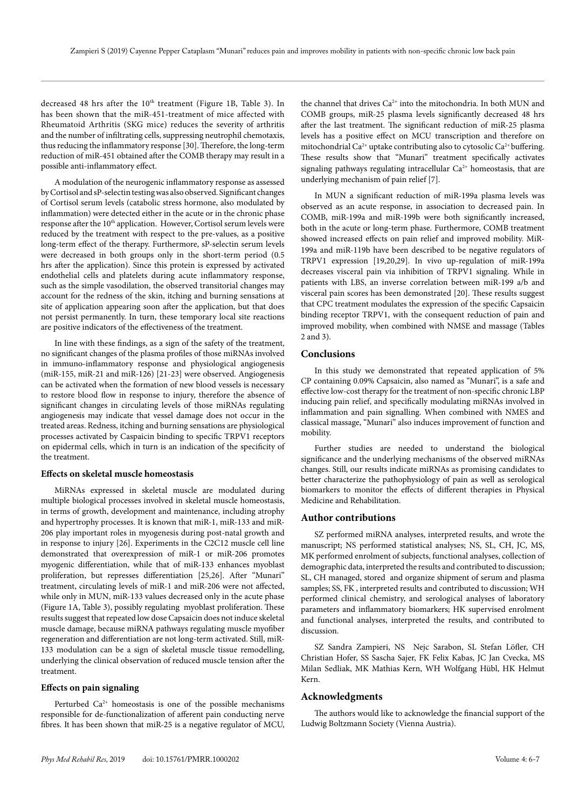decreased 48 hrs after the 10<sup>th</sup> treatment (Figure 1B, Table 3). In has been shown that the miR-451-treatment of mice affected with Rheumatoid Arthritis (SKG mice) reduces the severity of arthritis and the number of infiltrating cells, suppressing neutrophil chemotaxis, thus reducing the inflammatory response [30]. Therefore, the long-term reduction of miR-451 obtained after the COMB therapy may result in a possible anti-inflammatory effect.

A modulation of the neurogenic inflammatory response as assessed by Cortisol and sP-selectin testing was also observed. Significant changes of Cortisol serum levels (catabolic stress hormone, also modulated by inflammation) were detected either in the acute or in the chronic phase response after the 10<sup>th</sup> application. However, Cortisol serum levels were reduced by the treatment with respect to the pre-values, as a positive long-term effect of the therapy. Furthermore, sP-selectin serum levels were decreased in both groups only in the short-term period (0.5 hrs after the application). Since this protein is expressed by activated endothelial cells and platelets during acute inflammatory response, such as the simple vasodilation, the observed transitorial changes may account for the redness of the skin, itching and burning sensations at site of application appearing soon after the application, but that does not persist permanently. In turn, these temporary local site reactions are positive indicators of the effectiveness of the treatment.

In line with these findings, as a sign of the safety of the treatment, no significant changes of the plasma profiles of those miRNAs involved in immuno-inflammatory response and physiological angiogenesis (miR-155, miR-21 and miR-126) [21-23] were observed. Angiogenesis can be activated when the formation of new blood vessels is necessary to restore blood flow in response to injury, therefore the absence of significant changes in circulating levels of those miRNAs regulating angiogenesis may indicate that vessel damage does not occur in the treated areas. Redness, itching and burning sensations are physiological processes activated by Caspaicin binding to specific TRPV1 receptors on epidermal cells, which in turn is an indication of the specificity of the treatment.

#### **Effects on skeletal muscle homeostasis**

MiRNAs expressed in skeletal muscle are modulated during multiple biological processes involved in skeletal muscle homeostasis, in terms of growth, development and maintenance, including atrophy and hypertrophy processes. It is known that miR-1, miR-133 and miR-206 play important roles in myogenesis during post-natal growth and in response to injury [26]. Experiments in the C2C12 muscle cell line demonstrated that overexpression of miR-1 or miR-206 promotes myogenic differentiation, while that of miR-133 enhances myoblast proliferation, but represses differentiation [25,26]. After "Munari" treatment, circulating levels of miR-1 and miR-206 were not affected, while only in MUN, miR-133 values decreased only in the acute phase (Figure 1A, Table 3), possibly regulating myoblast proliferation. These results suggest that repeated low dose Capsaicin does not induce skeletal muscle damage, because miRNA pathways regulating muscle myofiber regeneration and differentiation are not long-term activated. Still, miR-133 modulation can be a sign of skeletal muscle tissue remodelling, underlying the clinical observation of reduced muscle tension after the treatment.

# **Effects on pain signaling**

Perturbed  $Ca^{2+}$  homeostasis is one of the possible mechanisms responsible for de-functionalization of afferent pain conducting nerve fibres. It has been shown that miR-25 is a negative regulator of MCU,

the channel that drives Ca<sup>2+</sup> into the mitochondria. In both MUN and COMB groups, miR-25 plasma levels significantly decreased 48 hrs after the last treatment. The significant reduction of miR-25 plasma levels has a positive effect on MCU transcription and therefore on mitochondrial Ca<sup>2+</sup> uptake contributing also to cytosolic Ca<sup>2+</sup> buffering. These results show that "Munari" treatment specifically activates signaling pathways regulating intracellular  $Ca^{2+}$  homeostasis, that are underlying mechanism of pain relief [7].

In MUN a significant reduction of miR-199a plasma levels was observed as an acute response, in association to decreased pain. In COMB, miR-199a and miR-199b were both significantly increased, both in the acute or long-term phase. Furthermore, COMB treatment showed increased effects on pain relief and improved mobility. MiR-199a and miR-119b have been described to be negative regulators of TRPV1 expression [19,20,29]. In vivo up-regulation of miR-199a decreases visceral pain via inhibition of TRPV1 signaling. While in patients with LBS, an inverse correlation between miR-199 a/b and visceral pain scores has been demonstrated [20]. These results suggest that CPC treatment modulates the expression of the specific Capsaicin binding receptor TRPV1, with the consequent reduction of pain and improved mobility, when combined with NMSE and massage (Tables 2 and 3).

# **Conclusions**

In this study we demonstrated that repeated application of 5% CP containing 0.09% Capsaicin, also named as "Munari", is a safe and effective low-cost therapy for the treatment of non-specific chronic LBP inducing pain relief, and specifically modulating miRNAs involved in inflammation and pain signalling. When combined with NMES and classical massage, "Munari" also induces improvement of function and mobility.

Further studies are needed to understand the biological significance and the underlying mechanisms of the observed miRNAs changes. Still, our results indicate miRNAs as promising candidates to better characterize the pathophysiology of pain as well as serological biomarkers to monitor the effects of different therapies in Physical Medicine and Rehabilitation.

#### **Author contributions**

SZ performed miRNA analyses, interpreted results, and wrote the manuscript; NS performed statistical analyses; NS, SL, CH, JC, MS, MK performed enrolment of subjects, functional analyses, collection of demographic data, interpreted the results and contributed to discussion; SL, CH managed, stored and organize shipment of serum and plasma samples; SS, FK , interpreted results and contributed to discussion; WH performed clinical chemistry, and serological analyses of laboratory parameters and inflammatory biomarkers; HK supervised enrolment and functional analyses, interpreted the results, and contributed to discussion.

SZ Sandra Zampieri, NS Nejc Sarabon, SL Stefan Löfler, CH Christian Hofer, SS Sascha Sajer, FK Felix Kabas, JC Jan Cvecka, MS Milan Sedliak, MK Mathias Kern, WH Wolfgang Hübl, HK Helmut Kern.

# **Acknowledgments**

The authors would like to acknowledge the financial support of the Ludwig Boltzmann Society (Vienna Austria).